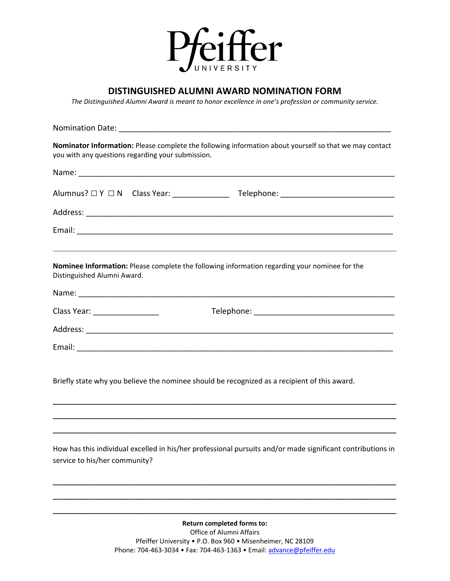

## **DISTINGUISHED ALUMNI AWARD NOMINATION FORM**

*The Distinguished Alumni Award is meant to honor excellence in one's profession or community service.*

| Nominator Information: Please complete the following information about yourself so that we may contact<br>you with any questions regarding your submission. |  |  |  |  |  |
|-------------------------------------------------------------------------------------------------------------------------------------------------------------|--|--|--|--|--|
|                                                                                                                                                             |  |  |  |  |  |
|                                                                                                                                                             |  |  |  |  |  |
|                                                                                                                                                             |  |  |  |  |  |
|                                                                                                                                                             |  |  |  |  |  |
| Nominee Information: Please complete the following information regarding your nominee for the<br>Distinguished Alumni Award.                                |  |  |  |  |  |
|                                                                                                                                                             |  |  |  |  |  |
| Class Year: ________________                                                                                                                                |  |  |  |  |  |
|                                                                                                                                                             |  |  |  |  |  |
|                                                                                                                                                             |  |  |  |  |  |
| Briefly state why you believe the nominee should be recognized as a recipient of this award.                                                                |  |  |  |  |  |
|                                                                                                                                                             |  |  |  |  |  |
|                                                                                                                                                             |  |  |  |  |  |
| How has this individual excelled in his/her professional pursuits and/or made significant contributions in<br>service to his/her community?                 |  |  |  |  |  |

**Return completed forms to:** Office of Alumni Affairs Pfeiffer University • P.O. Box 960 • Misenheimer, NC 28109 Phone: 704-463-3034 • Fax: 704-463-1363 • Email: [advance@pfeiffer.edu](mailto:advance@pfeiffer.edu)

\_\_\_\_\_\_\_\_\_\_\_\_\_\_\_\_\_\_\_\_\_\_\_\_\_\_\_\_\_\_\_\_\_\_\_\_\_\_\_\_\_\_\_\_\_\_\_\_\_\_\_\_\_\_\_\_\_\_\_\_\_\_\_\_\_\_\_ \_\_\_\_\_\_\_\_\_\_\_\_\_\_\_\_\_\_\_\_\_\_\_\_\_\_\_\_\_\_\_\_\_\_\_\_\_\_\_\_\_\_\_\_\_\_\_\_\_\_\_\_\_\_\_\_\_\_\_\_\_\_\_\_\_\_\_